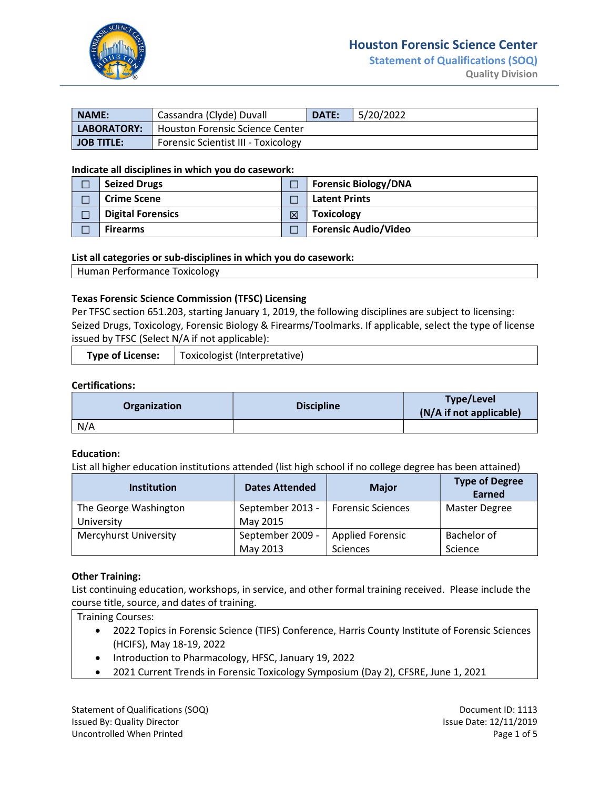

## Houston Forensic Science Center

Statement of Qualifications (SOQ) Quality Division

| NAME:             | Cassandra (Clyde) Duvall            | <b>DATE:</b> | 5/20/2022 |
|-------------------|-------------------------------------|--------------|-----------|
| LABORATORY:       | Houston Forensic Science Center     |              |           |
| <b>JOB TITLE:</b> | Forensic Scientist III - Toxicology |              |           |

### Indicate all disciplines in which you do casework:

| <b>Seized Drugs</b>      |   | <b>Forensic Biology/DNA</b> |
|--------------------------|---|-----------------------------|
| <b>Crime Scene</b>       |   | <b>Latent Prints</b>        |
| <b>Digital Forensics</b> | 区 | <b>Toxicology</b>           |
| <b>Firearms</b>          |   | <b>Forensic Audio/Video</b> |

### List all categories or sub-disciplines in which you do casework:

Human Performance Toxicology

### Texas Forensic Science Commission (TFSC) Licensing

Per TFSC section 651.203, starting January 1, 2019, the following disciplines are subject to licensing: Seized Drugs, Toxicology, Forensic Biology & Firearms/Toolmarks. If applicable, select the type of license issued by TFSC (Select N/A if not applicable):

| <b>Type of License:</b> | Toxicologist (Interpretative) |
|-------------------------|-------------------------------|
|                         |                               |

### Certifications:

| <b>Organization</b> | <b>Discipline</b> | Type/Level<br>(N/A if not applicable) |
|---------------------|-------------------|---------------------------------------|
| N/A                 |                   |                                       |

#### Education:

List all higher education institutions attended (list high school if no college degree has been attained)

| <b>Institution</b>                  | <b>Dates Attended</b>        | <b>Major</b>                               | <b>Type of Degree</b><br>Earned |
|-------------------------------------|------------------------------|--------------------------------------------|---------------------------------|
| The George Washington<br>University | September 2013 -<br>May 2015 | Forensic Sciences                          | <b>Master Degree</b>            |
| <b>Mercyhurst University</b>        | September 2009 -<br>May 2013 | <b>Applied Forensic</b><br><b>Sciences</b> | Bachelor of<br>Science          |

### Other Training:

List continuing education, workshops, in service, and other formal training received. Please include the course title, source, and dates of training.

Training Courses:

- 2022 Topics in Forensic Science (TIFS) Conference, Harris County Institute of Forensic Sciences (HCIFS), May 18-19, 2022
- Introduction to Pharmacology, HFSC, January 19, 2022
- 2021 Current Trends in Forensic Toxicology Symposium (Day 2), CFSRE, June 1, 2021

Statement of Qualifications (SOQ) Statement ID: 1113 Issued By: Quality Director **Issue Date: 12/11/2019** Issue Date: 12/11/2019 Uncontrolled When Printed **Page 1 of 5** and 2008 and 2008 and 2008 and 2008 and 2008 and 2008 and 2008 and 2008 and 2008 and 2008 and 2008 and 2008 and 2008 and 2008 and 2008 and 2008 and 2008 and 2008 and 2008 and 2008 an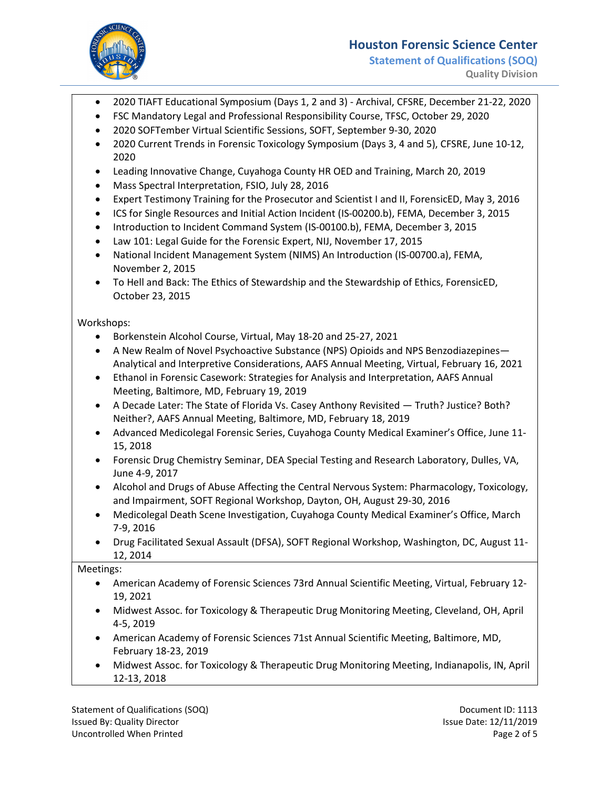

# Houston Forensic Science Center

Statement of Qualifications (SOQ) Quality Division

- 2020 TIAFT Educational Symposium (Days 1, 2 and 3) Archival, CFSRE, December 21-22, 2020
- FSC Mandatory Legal and Professional Responsibility Course, TFSC, October 29, 2020
- 2020 SOFTember Virtual Scientific Sessions, SOFT, September 9-30, 2020
- 2020 Current Trends in Forensic Toxicology Symposium (Days 3, 4 and 5), CFSRE, June 10-12, 2020
- Leading Innovative Change, Cuyahoga County HR OED and Training, March 20, 2019
- Mass Spectral Interpretation, FSIO, July 28, 2016
- Expert Testimony Training for the Prosecutor and Scientist I and II, ForensicED, May 3, 2016
- ICS for Single Resources and Initial Action Incident (IS-00200.b), FEMA, December 3, 2015
- Introduction to Incident Command System (IS-00100.b), FEMA, December 3, 2015
- Law 101: Legal Guide for the Forensic Expert, NIJ, November 17, 2015
- National Incident Management System (NIMS) An Introduction (IS-00700.a), FEMA, November 2, 2015
- To Hell and Back: The Ethics of Stewardship and the Stewardship of Ethics, ForensicED, October 23, 2015

Workshops:

- Borkenstein Alcohol Course, Virtual, May 18-20 and 25-27, 2021
- A New Realm of Novel Psychoactive Substance (NPS) Opioids and NPS Benzodiazepines— Analytical and Interpretive Considerations, AAFS Annual Meeting, Virtual, February 16, 2021
- Ethanol in Forensic Casework: Strategies for Analysis and Interpretation, AAFS Annual Meeting, Baltimore, MD, February 19, 2019
- A Decade Later: The State of Florida Vs. Casey Anthony Revisited Truth? Justice? Both? Neither?, AAFS Annual Meeting, Baltimore, MD, February 18, 2019
- Advanced Medicolegal Forensic Series, Cuyahoga County Medical Examiner's Office, June 11- 15, 2018
- Forensic Drug Chemistry Seminar, DEA Special Testing and Research Laboratory, Dulles, VA, June 4-9, 2017
- Alcohol and Drugs of Abuse Affecting the Central Nervous System: Pharmacology, Toxicology, and Impairment, SOFT Regional Workshop, Dayton, OH, August 29-30, 2016
- Medicolegal Death Scene Investigation, Cuyahoga County Medical Examiner's Office, March 7-9, 2016
- Drug Facilitated Sexual Assault (DFSA), SOFT Regional Workshop, Washington, DC, August 11- 12, 2014

Meetings:

- American Academy of Forensic Sciences 73rd Annual Scientific Meeting, Virtual, February 12- 19, 2021
- Midwest Assoc. for Toxicology & Therapeutic Drug Monitoring Meeting, Cleveland, OH, April 4-5, 2019
- American Academy of Forensic Sciences 71st Annual Scientific Meeting, Baltimore, MD, February 18-23, 2019
- Midwest Assoc. for Toxicology & Therapeutic Drug Monitoring Meeting, Indianapolis, IN, April 12-13, 2018

Statement of Qualifications (SOQ) Statement ID: 1113 Issued By: Quality Director **Issue Date: 12/11/2019** Issue Date: 12/11/2019 Uncontrolled When Printed **Page 2 of 5** and 2 of 5 and 2 of 5 and 2 of 5 and 2 of 5 and 2 of 5 and 2 of 5 and 2 of 5 and 2 of 5 and 2 of 5 and 2 of 5 and 2 of 5 and 2 of 5 and 2 of 5 and 2 of 5 and 2 of 5 and 2 of 5 and 2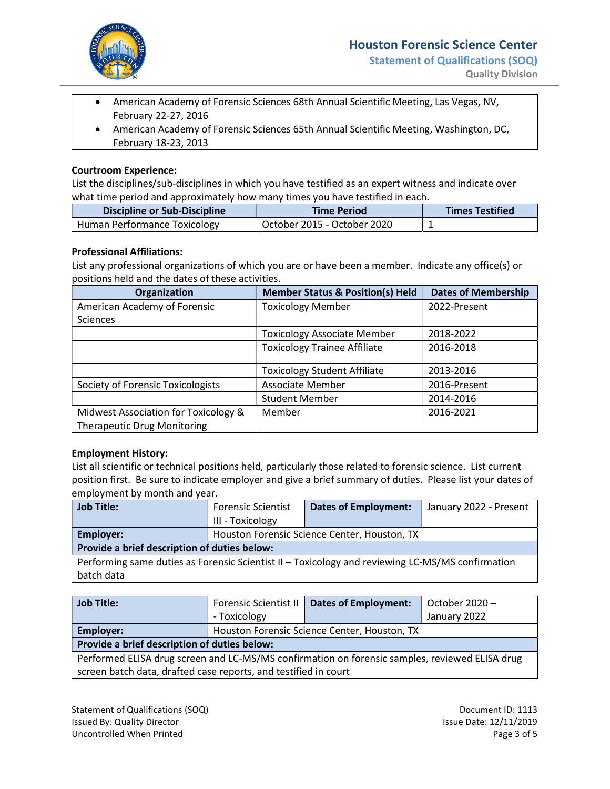

- American Academy of Forensic Sciences 68th Annual Scientific Meeting, Las Vegas, NV, February 22-27, 2016
- American Academy of Forensic Sciences 65th Annual Scientific Meeting, Washington, DC, February 18-23, 2013

## Courtroom Experience:

List the disciplines/sub-disciplines in which you have testified as an expert witness and indicate over what time period and approximately how many times you have testified in each.

| <b>Discipline or Sub-Discipline</b> | <b>Time Period</b>          | <b>Times Testified</b> |
|-------------------------------------|-----------------------------|------------------------|
| Human Performance Toxicology        | October 2015 - October 2020 |                        |

### Professional Affiliations:

List any professional organizations of which you are or have been a member. Indicate any office(s) or positions held and the dates of these activities.

| Organization                                                               | <b>Member Status &amp; Position(s) Held</b> | <b>Dates of Membership</b> |
|----------------------------------------------------------------------------|---------------------------------------------|----------------------------|
| American Academy of Forensic                                               | <b>Toxicology Member</b>                    | 2022-Present               |
| <b>Sciences</b>                                                            |                                             |                            |
|                                                                            | <b>Toxicology Associate Member</b>          | 2018-2022                  |
|                                                                            | <b>Toxicology Trainee Affiliate</b>         | 2016-2018                  |
|                                                                            | <b>Toxicology Student Affiliate</b>         | 2013-2016                  |
| Society of Forensic Toxicologists                                          | <b>Associate Member</b>                     | 2016-Present               |
|                                                                            | <b>Student Member</b>                       | 2014-2016                  |
| Midwest Association for Toxicology &<br><b>Therapeutic Drug Monitoring</b> | Member                                      | 2016-2021                  |

### Employment History:

List all scientific or technical positions held, particularly those related to forensic science. List current position first. Be sure to indicate employer and give a brief summary of duties. Please list your dates of employment by month and year.

| <b>Job Title:</b>                                                                                | <b>Forensic Scientist</b>                    | <b>Dates of Employment:</b> | January 2022 - Present |  |
|--------------------------------------------------------------------------------------------------|----------------------------------------------|-----------------------------|------------------------|--|
|                                                                                                  | III - Toxicology                             |                             |                        |  |
| Employer:                                                                                        | Houston Forensic Science Center, Houston, TX |                             |                        |  |
| Provide a brief description of duties below:                                                     |                                              |                             |                        |  |
| Performing same duties as Forensic Scientist II - Toxicology and reviewing LC-MS/MS confirmation |                                              |                             |                        |  |
| batch data                                                                                       |                                              |                             |                        |  |

| <b>Job Title:</b>                                                                              | <b>Forensic Scientist II</b>                 | <b>Dates of Employment:</b> | October 2020 - |  |
|------------------------------------------------------------------------------------------------|----------------------------------------------|-----------------------------|----------------|--|
|                                                                                                | - Toxicology                                 |                             | January 2022   |  |
| Employer:                                                                                      | Houston Forensic Science Center, Houston, TX |                             |                |  |
| Provide a brief description of duties below:                                                   |                                              |                             |                |  |
| Performed ELISA drug screen and LC-MS/MS confirmation on forensic samples, reviewed ELISA drug |                                              |                             |                |  |
| screen batch data, drafted case reports, and testified in court                                |                                              |                             |                |  |

Statement of Qualifications (SOQ) Statement ID: 1113 Issued By: Quality Director **Issue Date: 12/11/2019** Issue Date: 12/11/2019 Uncontrolled When Printed **Page 3 of 5** and 2 of 5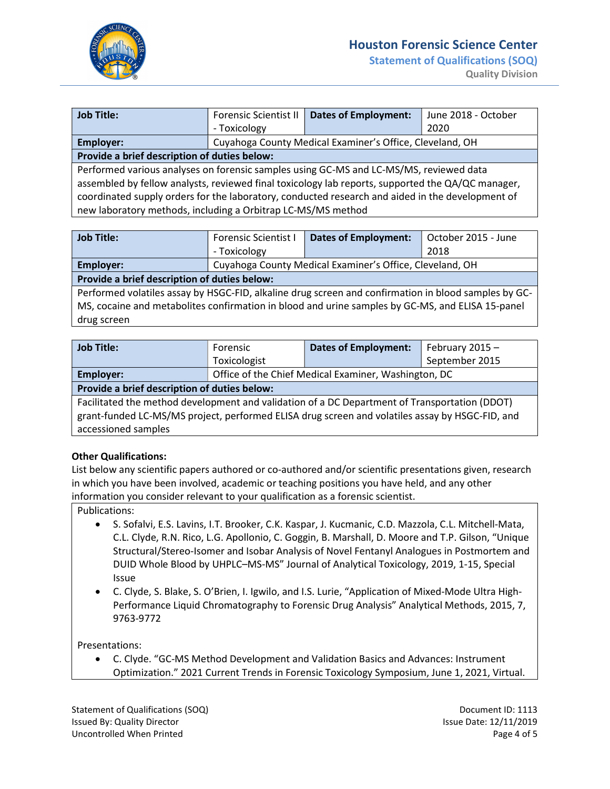

Statement of Qualifications (SOQ)

| <b>Job Title:</b>                                                                                 | <b>Forensic Scientist II</b>                 | <b>Dates of Employment:</b>                              | June 2018 - October |  |  |
|---------------------------------------------------------------------------------------------------|----------------------------------------------|----------------------------------------------------------|---------------------|--|--|
|                                                                                                   | - Toxicology                                 |                                                          | 2020                |  |  |
| Employer:                                                                                         |                                              | Cuyahoga County Medical Examiner's Office, Cleveland, OH |                     |  |  |
|                                                                                                   | Provide a brief description of duties below: |                                                          |                     |  |  |
| Performed various analyses on forensic samples using GC-MS and LC-MS/MS, reviewed data            |                                              |                                                          |                     |  |  |
| assembled by fellow analysts, reviewed final toxicology lab reports, supported the QA/QC manager, |                                              |                                                          |                     |  |  |
| coordinated supply orders for the laboratory, conducted research and aided in the development of  |                                              |                                                          |                     |  |  |
| new laboratory methods, including a Orbitrap LC-MS/MS method                                      |                                              |                                                          |                     |  |  |
|                                                                                                   |                                              |                                                          |                     |  |  |

| <b>Job Title:</b>                                                                                    | <b>Forensic Scientist I</b>                              | <b>Dates of Employment:</b> | October 2015 - June |  |
|------------------------------------------------------------------------------------------------------|----------------------------------------------------------|-----------------------------|---------------------|--|
|                                                                                                      | - Toxicology                                             |                             | 2018                |  |
| Employer:                                                                                            | Cuyahoga County Medical Examiner's Office, Cleveland, OH |                             |                     |  |
| Provide a brief description of duties below:                                                         |                                                          |                             |                     |  |
| Performed volatiles assay by HSGC-FID, alkaline drug screen and confirmation in blood samples by GC- |                                                          |                             |                     |  |
| MS, cocaine and metabolites confirmation in blood and urine samples by GC-MS, and ELISA 15-panel     |                                                          |                             |                     |  |
| drug screen                                                                                          |                                                          |                             |                     |  |

| <b>Job Title:</b>                                                                               | Forensic                                             | <b>Dates of Employment:</b> | February 2015 - |  |
|-------------------------------------------------------------------------------------------------|------------------------------------------------------|-----------------------------|-----------------|--|
|                                                                                                 | Toxicologist                                         |                             | September 2015  |  |
| Employer:                                                                                       | Office of the Chief Medical Examiner, Washington, DC |                             |                 |  |
| Provide a brief description of duties below:                                                    |                                                      |                             |                 |  |
| Facilitated the method development and validation of a DC Department of Transportation (DDOT)   |                                                      |                             |                 |  |
| grant-funded LC-MS/MS project, performed ELISA drug screen and volatiles assay by HSGC-FID, and |                                                      |                             |                 |  |
| accessioned samples                                                                             |                                                      |                             |                 |  |

### Other Qualifications:

List below any scientific papers authored or co-authored and/or scientific presentations given, research in which you have been involved, academic or teaching positions you have held, and any other information you consider relevant to your qualification as a forensic scientist.

## Publications:

- S. Sofalvi, E.S. Lavins, I.T. Brooker, C.K. Kaspar, J. Kucmanic, C.D. Mazzola, C.L. Mitchell-Mata, C.L. Clyde, R.N. Rico, L.G. Apollonio, C. Goggin, B. Marshall, D. Moore and T.P. Gilson, "Unique Structural/Stereo-Isomer and Isobar Analysis of Novel Fentanyl Analogues in Postmortem and DUID Whole Blood by UHPLC–MS-MS" Journal of Analytical Toxicology, 2019, 1-15, Special Issue
- C. Clyde, S. Blake, S. O'Brien, I. Igwilo, and I.S. Lurie, "Application of Mixed-Mode Ultra High-Performance Liquid Chromatography to Forensic Drug Analysis" Analytical Methods, 2015, 7, 9763-9772

Presentations:

 C. Clyde. "GC-MS Method Development and Validation Basics and Advances: Instrument Optimization." 2021 Current Trends in Forensic Toxicology Symposium, June 1, 2021, Virtual.

Statement of Qualifications (SOQ) Statement ID: 1113 Issued By: Quality Director **Issue Date: 12/11/2019** Issue Date: 12/11/2019 Uncontrolled When Printed **Page 4 of 5** and 2012 12:00 Page 4 of 5